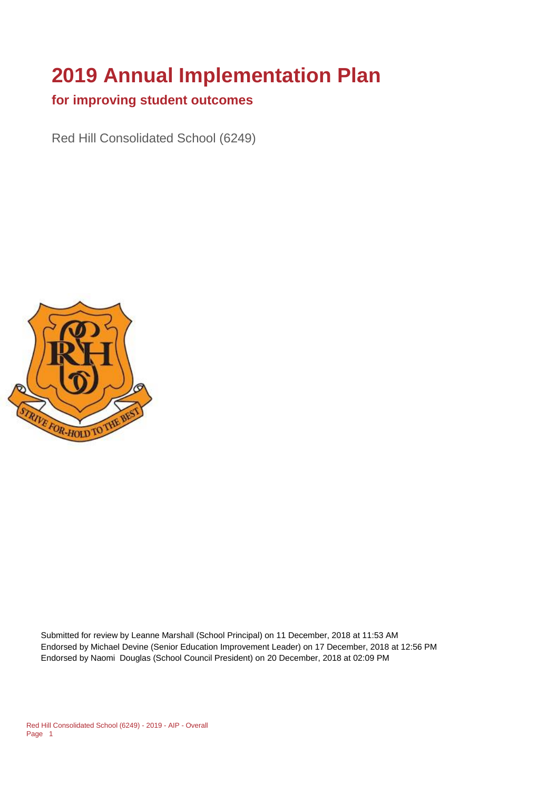# **2019 Annual Implementation Plan**

#### **for improving student outcomes**

Red Hill Consolidated School (6249)



Submitted for review by Leanne Marshall (School Principal) on 11 December, 2018 at 11:53 AM Endorsed by Michael Devine (Senior Education Improvement Leader) on 17 December, 2018 at 12:56 PM Endorsed by Naomi Douglas (School Council President) on 20 December, 2018 at 02:09 PM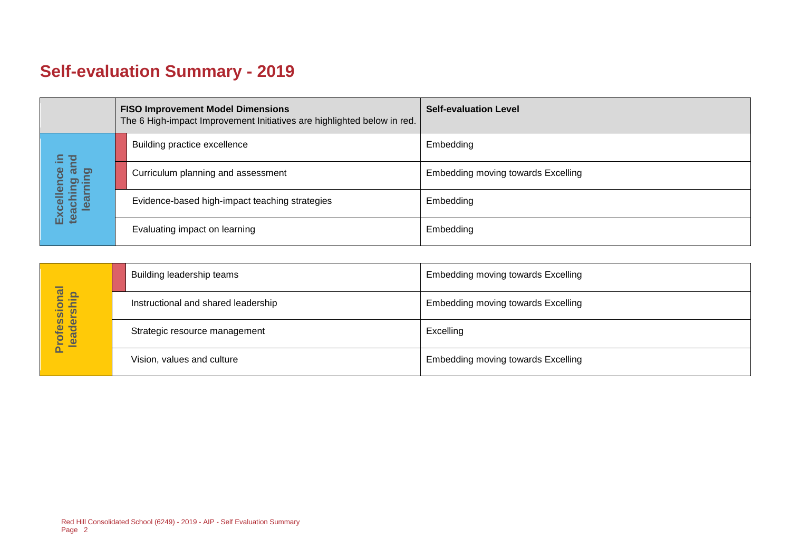# **Self-evaluation Summary - 2019**

|  |                                       | <b>FISO Improvement Model Dimensions</b><br>The 6 High-impact Improvement Initiatives are highlighted below in red. |                                                | <b>Self-evaluation Level</b>       |
|--|---------------------------------------|---------------------------------------------------------------------------------------------------------------------|------------------------------------------------|------------------------------------|
|  |                                       |                                                                                                                     | Building practice excellence                   | Embedding                          |
|  | bure<br>sta<br>lence                  |                                                                                                                     | Curriculum planning and assessment             | Embedding moving towards Excelling |
|  | Excellence<br>teaching ar<br>learning |                                                                                                                     | Evidence-based high-impact teaching strategies | Embedding                          |
|  |                                       |                                                                                                                     | Evaluating impact on learning                  | Embedding                          |

|                            | Building leadership teams           | Embedding moving towards Excelling |
|----------------------------|-------------------------------------|------------------------------------|
|                            | Instructional and shared leadership | Embedding moving towards Excelling |
| Professional<br>leadership | Strategic resource management       | Excelling                          |
|                            | Vision, values and culture          | Embedding moving towards Excelling |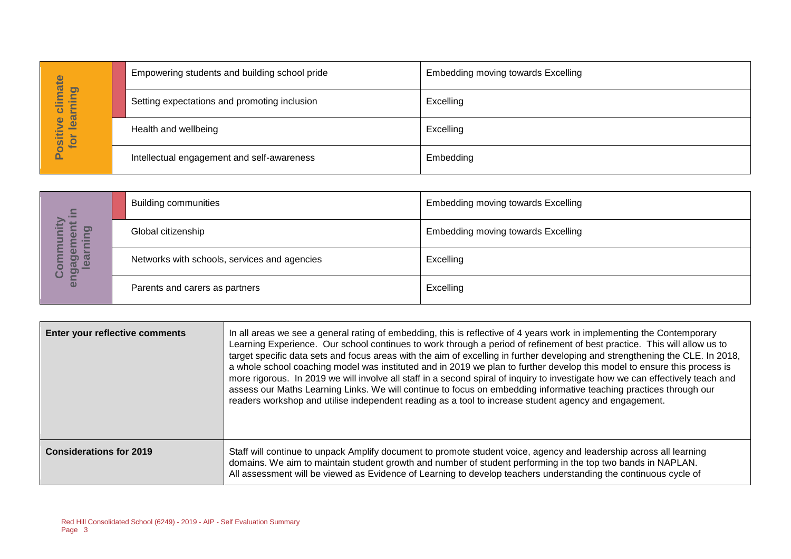|                                 | Empowering students and building school pride | <b>Embedding moving towards Excelling</b> |
|---------------------------------|-----------------------------------------------|-------------------------------------------|
| imate<br>pnin<br>$\overline{O}$ | Setting expectations and promoting inclusion  | Excelling                                 |
| learn<br>ဖ<br>Positiv<br>for    | Health and wellbeing                          | Excelling                                 |
|                                 | Intellectual engagement and self-awareness    | Embedding                                 |

| $\Xi$                                        | <b>Building communities</b>                  | Embedding moving towards Excelling |
|----------------------------------------------|----------------------------------------------|------------------------------------|
| <u>ත</u><br>Φ<br>Ē                           | Global citizenship                           | Embedding moving towards Excelling |
| _<br>@<br>91<br>w<br>enga<br><u> മ</u><br>ပိ | Networks with schools, services and agencies | Excelling                          |
|                                              | Parents and carers as partners               | Excelling                          |

|                                  | Empowering students and building scribble pride                            |                                              | ETHDEUUING HIOVING tOWATUS EXCEIING                                                                                                                                                                                                                                                                                                                                                                                                                                                                                                                                                                                                                                                                                                                                                                                                                                              |
|----------------------------------|----------------------------------------------------------------------------|----------------------------------------------|----------------------------------------------------------------------------------------------------------------------------------------------------------------------------------------------------------------------------------------------------------------------------------------------------------------------------------------------------------------------------------------------------------------------------------------------------------------------------------------------------------------------------------------------------------------------------------------------------------------------------------------------------------------------------------------------------------------------------------------------------------------------------------------------------------------------------------------------------------------------------------|
| Positive climate<br>for learning |                                                                            | Setting expectations and promoting inclusion | Excelling                                                                                                                                                                                                                                                                                                                                                                                                                                                                                                                                                                                                                                                                                                                                                                                                                                                                        |
|                                  | Health and wellbeing                                                       |                                              | Excelling                                                                                                                                                                                                                                                                                                                                                                                                                                                                                                                                                                                                                                                                                                                                                                                                                                                                        |
|                                  |                                                                            | Intellectual engagement and self-awareness   | Embedding                                                                                                                                                                                                                                                                                                                                                                                                                                                                                                                                                                                                                                                                                                                                                                                                                                                                        |
|                                  |                                                                            |                                              |                                                                                                                                                                                                                                                                                                                                                                                                                                                                                                                                                                                                                                                                                                                                                                                                                                                                                  |
|                                  | <b>Building communities</b>                                                |                                              | <b>Embedding moving towards Excelling</b>                                                                                                                                                                                                                                                                                                                                                                                                                                                                                                                                                                                                                                                                                                                                                                                                                                        |
| learning                         | Global citizenship                                                         |                                              | Embedding moving towards Excelling                                                                                                                                                                                                                                                                                                                                                                                                                                                                                                                                                                                                                                                                                                                                                                                                                                               |
| engagement in<br>Community       | Networks with schools, services and agencies                               |                                              | Excelling                                                                                                                                                                                                                                                                                                                                                                                                                                                                                                                                                                                                                                                                                                                                                                                                                                                                        |
|                                  | Parents and carers as partners                                             |                                              | Excelling                                                                                                                                                                                                                                                                                                                                                                                                                                                                                                                                                                                                                                                                                                                                                                                                                                                                        |
|                                  |                                                                            |                                              |                                                                                                                                                                                                                                                                                                                                                                                                                                                                                                                                                                                                                                                                                                                                                                                                                                                                                  |
|                                  | Enter your reflective comments                                             |                                              | In all areas we see a general rating of embedding, this is reflective of 4 years work in implementing the Contemporary<br>Learning Experience. Our school continues to work through a period of refinement of best practice. This will allow us to<br>target specific data sets and focus areas with the aim of excelling in further developing and strengthening the CLE. In 2018,<br>a whole school coaching model was instituted and in 2019 we plan to further develop this model to ensure this process is<br>more rigorous. In 2019 we will involve all staff in a second spiral of inquiry to investigate how we can effectively teach and<br>assess our Maths Learning Links. We will continue to focus on embedding informative teaching practices through our<br>readers workshop and utilise independent reading as a tool to increase student agency and engagement. |
| <b>Considerations for 2019</b>   |                                                                            |                                              | Staff will continue to unpack Amplify document to promote student voice, agency and leadership across all learning<br>domains. We aim to maintain student growth and number of student performing in the top two bands in NAPLAN.<br>All assessment will be viewed as Evidence of Learning to develop teachers understanding the continuous cycle of                                                                                                                                                                                                                                                                                                                                                                                                                                                                                                                             |
| Page 3                           | Red Hill Consolidated School (6249) - 2019 - AIP - Self Evaluation Summary |                                              |                                                                                                                                                                                                                                                                                                                                                                                                                                                                                                                                                                                                                                                                                                                                                                                                                                                                                  |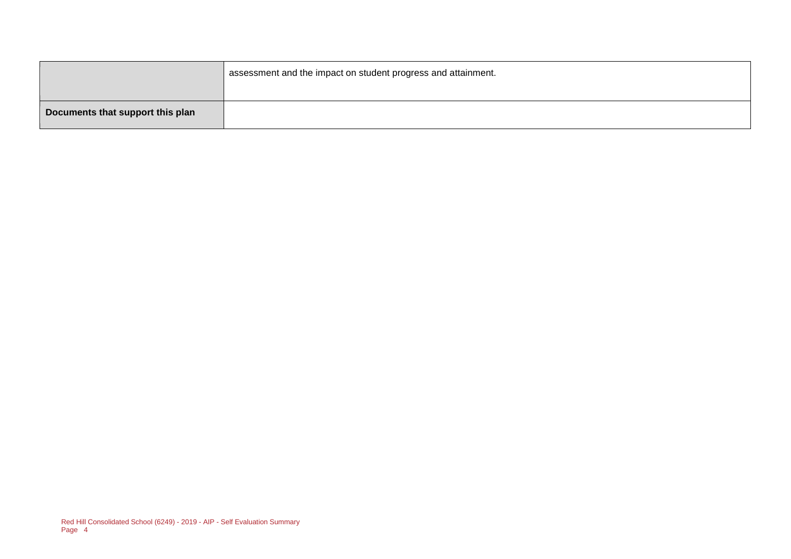|                                  | assessment and the impact on student progress and attainment. |
|----------------------------------|---------------------------------------------------------------|
| Documents that support this plan |                                                               |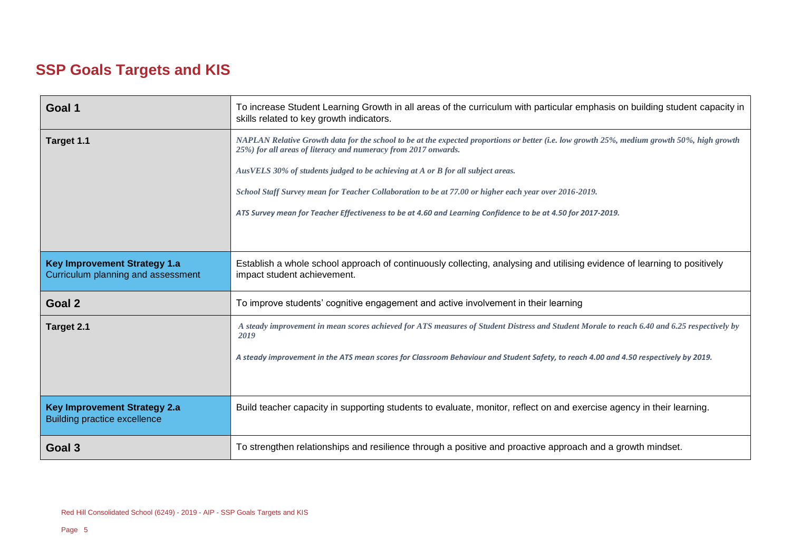# **SSP Goals Targets and KIS**

| Goal 1                                                                     | To increase Student Learning Growth in all areas of the curriculum with particular emphasis on building student capacity in<br>skills related to key growth indicators.                                       |  |
|----------------------------------------------------------------------------|---------------------------------------------------------------------------------------------------------------------------------------------------------------------------------------------------------------|--|
| Target 1.1                                                                 | NAPLAN Relative Growth data for the school to be at the expected proportions or better (i.e. low growth 25%, medium growth 50%, high growth<br>25%) for all areas of literacy and numeracy from 2017 onwards. |  |
|                                                                            | AusVELS 30% of students judged to be achieving at A or B for all subject areas.                                                                                                                               |  |
|                                                                            | School Staff Survey mean for Teacher Collaboration to be at 77.00 or higher each year over 2016-2019.                                                                                                         |  |
|                                                                            | ATS Survey mean for Teacher Effectiveness to be at 4.60 and Learning Confidence to be at 4.50 for 2017-2019.                                                                                                  |  |
|                                                                            |                                                                                                                                                                                                               |  |
| <b>Key Improvement Strategy 1.a</b><br>Curriculum planning and assessment  | Establish a whole school approach of continuously collecting, analysing and utilising evidence of learning to positively<br>impact student achievement.                                                       |  |
| Goal 2                                                                     | To improve students' cognitive engagement and active involvement in their learning                                                                                                                            |  |
| Target 2.1                                                                 | A steady improvement in mean scores achieved for ATS measures of Student Distress and Student Morale to reach 6.40 and 6.25 respectively by<br>2019                                                           |  |
|                                                                            | A steady improvement in the ATS mean scores for Classroom Behaviour and Student Safety, to reach 4.00 and 4.50 respectively by 2019.                                                                          |  |
|                                                                            |                                                                                                                                                                                                               |  |
| <b>Key Improvement Strategy 2.a</b><br><b>Building practice excellence</b> | Build teacher capacity in supporting students to evaluate, monitor, reflect on and exercise agency in their learning.                                                                                         |  |
| Goal 3                                                                     | To strengthen relationships and resilience through a positive and proactive approach and a growth mindset.                                                                                                    |  |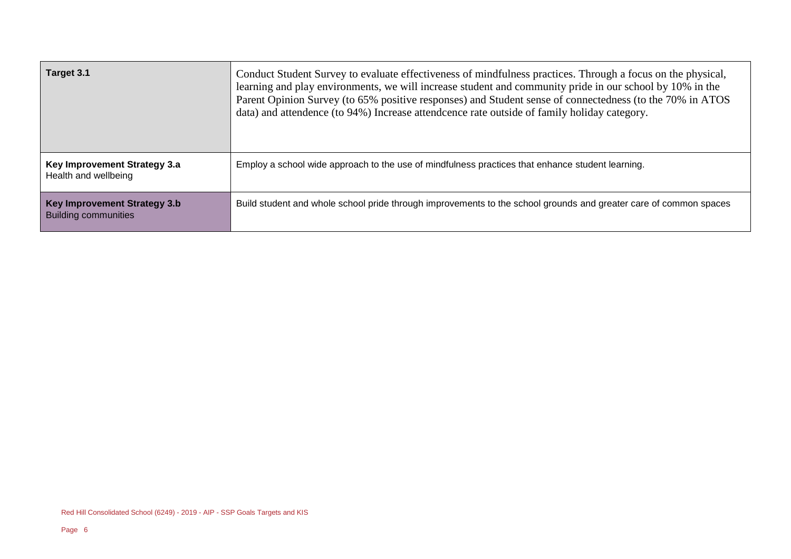| Target 3.1                                                  | Conduct Student Survey to evaluate effectiveness of mindfulness practices. Through a focus on the physical,<br>learning and play environments, we will increase student and community pride in our school by 10% in the<br>Parent Opinion Survey (to 65% positive responses) and Student sense of connectedness (to the 70% in ATOS<br>data) and attendence (to 94%) Increase attendence rate outside of family holiday category. |
|-------------------------------------------------------------|-----------------------------------------------------------------------------------------------------------------------------------------------------------------------------------------------------------------------------------------------------------------------------------------------------------------------------------------------------------------------------------------------------------------------------------|
| Key Improvement Strategy 3.a<br>Health and wellbeing        | Employ a school wide approach to the use of mindfulness practices that enhance student learning.                                                                                                                                                                                                                                                                                                                                  |
| Key Improvement Strategy 3.b<br><b>Building communities</b> | Build student and whole school pride through improvements to the school grounds and greater care of common spaces                                                                                                                                                                                                                                                                                                                 |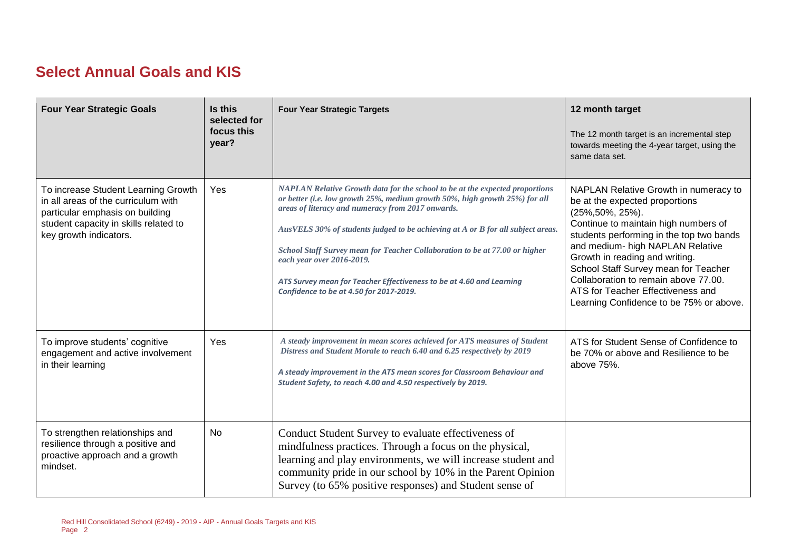### **Select Annual Goals and KIS**

| <b>Four Year Strategic Goals</b>                                                                                                                                                 | Is this<br>selected for<br>focus this<br>year? | <b>Four Year Strategic Targets</b>                                                                                                                                                                                                                                                                                                                                                                                                                                                                                                 | 12 month target<br>The 12 month target is an incremental step<br>towards meeting the 4-year target, using the<br>same data set.                                                                                                                                                                                                                                                                                       |
|----------------------------------------------------------------------------------------------------------------------------------------------------------------------------------|------------------------------------------------|------------------------------------------------------------------------------------------------------------------------------------------------------------------------------------------------------------------------------------------------------------------------------------------------------------------------------------------------------------------------------------------------------------------------------------------------------------------------------------------------------------------------------------|-----------------------------------------------------------------------------------------------------------------------------------------------------------------------------------------------------------------------------------------------------------------------------------------------------------------------------------------------------------------------------------------------------------------------|
| To increase Student Learning Growth<br>in all areas of the curriculum with<br>particular emphasis on building<br>student capacity in skills related to<br>key growth indicators. | Yes                                            | NAPLAN Relative Growth data for the school to be at the expected proportions<br>or better (i.e. low growth 25%, medium growth 50%, high growth 25%) for all<br>areas of literacy and numeracy from 2017 onwards.<br>AusVELS 30% of students judged to be achieving at A or B for all subject areas.<br>School Staff Survey mean for Teacher Collaboration to be at 77.00 or higher<br>each year over 2016-2019.<br>ATS Survey mean for Teacher Effectiveness to be at 4.60 and Learning<br>Confidence to be at 4.50 for 2017-2019. | NAPLAN Relative Growth in numeracy to<br>be at the expected proportions<br>(25%, 50%, 25%).<br>Continue to maintain high numbers of<br>students performing in the top two bands<br>and medium- high NAPLAN Relative<br>Growth in reading and writing.<br>School Staff Survey mean for Teacher<br>Collaboration to remain above 77.00.<br>ATS for Teacher Effectiveness and<br>Learning Confidence to be 75% or above. |
| To improve students' cognitive<br>engagement and active involvement<br>in their learning                                                                                         | Yes                                            | A steady improvement in mean scores achieved for ATS measures of Student<br>Distress and Student Morale to reach 6.40 and 6.25 respectively by 2019<br>A steady improvement in the ATS mean scores for Classroom Behaviour and<br>Student Safety, to reach 4.00 and 4.50 respectively by 2019.                                                                                                                                                                                                                                     | ATS for Student Sense of Confidence to<br>be 70% or above and Resilience to be<br>above 75%.                                                                                                                                                                                                                                                                                                                          |
| To strengthen relationships and<br>resilience through a positive and<br>proactive approach and a growth<br>mindset.                                                              | No                                             | Conduct Student Survey to evaluate effectiveness of<br>mindfulness practices. Through a focus on the physical,<br>learning and play environments, we will increase student and<br>community pride in our school by 10% in the Parent Opinion<br>Survey (to 65% positive responses) and Student sense of                                                                                                                                                                                                                            |                                                                                                                                                                                                                                                                                                                                                                                                                       |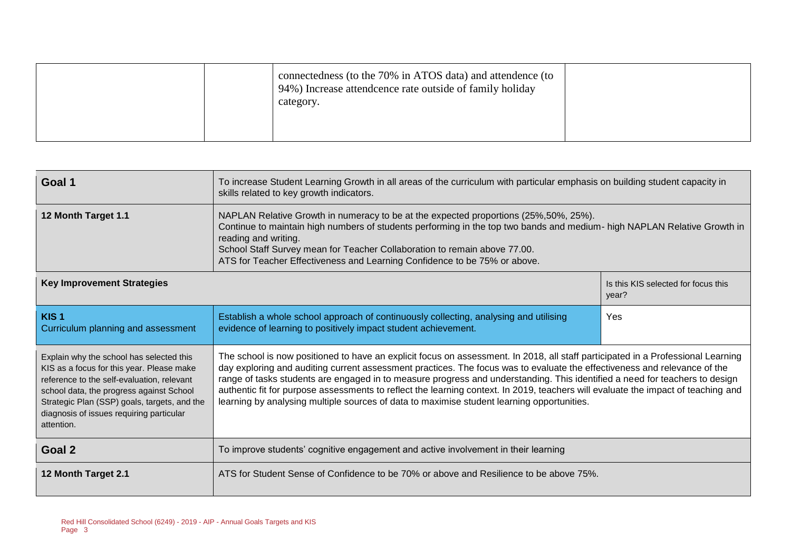|  | connectedness (to the 70% in ATOS data) and attendence (to<br>94%) Increase attendence rate outside of family holiday<br>category. |  |
|--|------------------------------------------------------------------------------------------------------------------------------------|--|
|--|------------------------------------------------------------------------------------------------------------------------------------|--|

| Goal 1                                                                                                                                                                                                                                                                                    | To increase Student Learning Growth in all areas of the curriculum with particular emphasis on building student capacity in<br>skills related to key growth indicators.                                                                                                                                                                                                                                                                                                                                                                                                                                                         |                                              |  |
|-------------------------------------------------------------------------------------------------------------------------------------------------------------------------------------------------------------------------------------------------------------------------------------------|---------------------------------------------------------------------------------------------------------------------------------------------------------------------------------------------------------------------------------------------------------------------------------------------------------------------------------------------------------------------------------------------------------------------------------------------------------------------------------------------------------------------------------------------------------------------------------------------------------------------------------|----------------------------------------------|--|
| 12 Month Target 1.1                                                                                                                                                                                                                                                                       | NAPLAN Relative Growth in numeracy to be at the expected proportions (25%, 50%, 25%).<br>Continue to maintain high numbers of students performing in the top two bands and medium- high NAPLAN Relative Growth in<br>reading and writing.<br>School Staff Survey mean for Teacher Collaboration to remain above 77.00.<br>ATS for Teacher Effectiveness and Learning Confidence to be 75% or above.                                                                                                                                                                                                                             |                                              |  |
| <b>Key Improvement Strategies</b>                                                                                                                                                                                                                                                         |                                                                                                                                                                                                                                                                                                                                                                                                                                                                                                                                                                                                                                 | Is this KIS selected for focus this<br>year? |  |
| KIS <sub>1</sub><br>Curriculum planning and assessment                                                                                                                                                                                                                                    | Establish a whole school approach of continuously collecting, analysing and utilising<br>evidence of learning to positively impact student achievement.                                                                                                                                                                                                                                                                                                                                                                                                                                                                         | Yes                                          |  |
| Explain why the school has selected this<br>KIS as a focus for this year. Please make<br>reference to the self-evaluation, relevant<br>school data, the progress against School<br>Strategic Plan (SSP) goals, targets, and the<br>diagnosis of issues requiring particular<br>attention. | The school is now positioned to have an explicit focus on assessment. In 2018, all staff participated in a Professional Learning<br>day exploring and auditing current assessment practices. The focus was to evaluate the effectiveness and relevance of the<br>range of tasks students are engaged in to measure progress and understanding. This identified a need for teachers to design<br>authentic fit for purpose assessments to reflect the learning context. In 2019, teachers will evaluate the impact of teaching and<br>learning by analysing multiple sources of data to maximise student learning opportunities. |                                              |  |
| Goal 2                                                                                                                                                                                                                                                                                    | To improve students' cognitive engagement and active involvement in their learning                                                                                                                                                                                                                                                                                                                                                                                                                                                                                                                                              |                                              |  |
| 12 Month Target 2.1                                                                                                                                                                                                                                                                       | ATS for Student Sense of Confidence to be 70% or above and Resilience to be above 75%.                                                                                                                                                                                                                                                                                                                                                                                                                                                                                                                                          |                                              |  |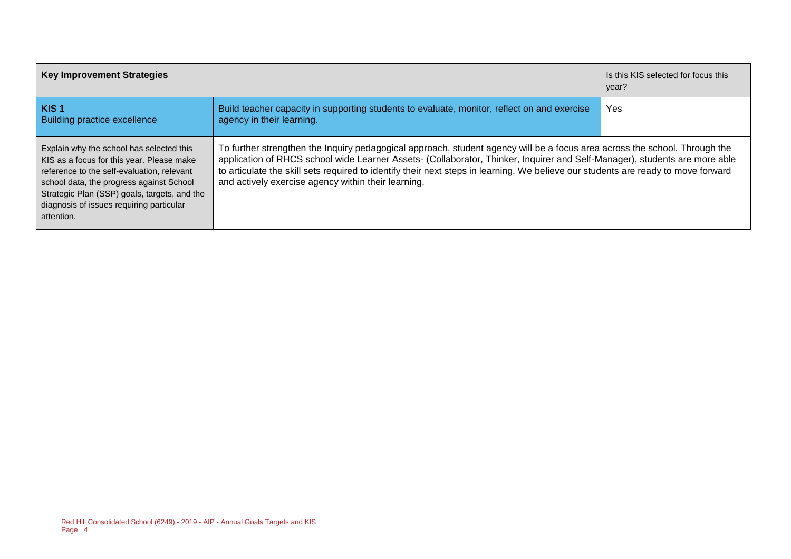| <b>Key Improvement Strategies</b>                                                                                                                                                                                                                                                         | Is this KIS selected for focus this<br>year?                                                                                                                                                                                                                                                                                                                                                                                                         |            |
|-------------------------------------------------------------------------------------------------------------------------------------------------------------------------------------------------------------------------------------------------------------------------------------------|------------------------------------------------------------------------------------------------------------------------------------------------------------------------------------------------------------------------------------------------------------------------------------------------------------------------------------------------------------------------------------------------------------------------------------------------------|------------|
| KIS <sub>1</sub><br><b>Building practice excellence</b>                                                                                                                                                                                                                                   | Build teacher capacity in supporting students to evaluate, monitor, reflect on and exercise<br>agency in their learning.                                                                                                                                                                                                                                                                                                                             | <b>Yes</b> |
| Explain why the school has selected this<br>KIS as a focus for this year. Please make<br>reference to the self-evaluation, relevant<br>school data, the progress against School<br>Strategic Plan (SSP) goals, targets, and the<br>diagnosis of issues requiring particular<br>attention. | To further strengthen the Inquiry pedagogical approach, student agency will be a focus area across the school. Through the<br>application of RHCS school wide Learner Assets- (Collaborator, Thinker, Inquirer and Self-Manager), students are more able<br>to articulate the skill sets required to identify their next steps in learning. We believe our students are ready to move forward<br>and actively exercise agency within their learning. |            |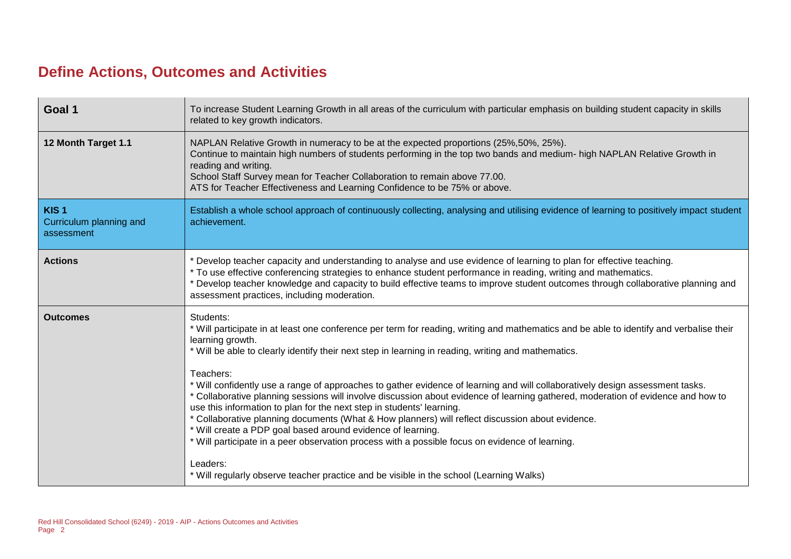### **Define Actions, Outcomes and Activities**

| Goal 1                                                    | To increase Student Learning Growth in all areas of the curriculum with particular emphasis on building student capacity in skills<br>related to key growth indicators.                                                                                                                                                                                                                                                                                                                                                                                                                                                                                                                                                                                                                                                                                                                                                                                                                                                 |
|-----------------------------------------------------------|-------------------------------------------------------------------------------------------------------------------------------------------------------------------------------------------------------------------------------------------------------------------------------------------------------------------------------------------------------------------------------------------------------------------------------------------------------------------------------------------------------------------------------------------------------------------------------------------------------------------------------------------------------------------------------------------------------------------------------------------------------------------------------------------------------------------------------------------------------------------------------------------------------------------------------------------------------------------------------------------------------------------------|
| 12 Month Target 1.1                                       | NAPLAN Relative Growth in numeracy to be at the expected proportions (25%, 50%, 25%).<br>Continue to maintain high numbers of students performing in the top two bands and medium- high NAPLAN Relative Growth in<br>reading and writing.<br>School Staff Survey mean for Teacher Collaboration to remain above 77.00.<br>ATS for Teacher Effectiveness and Learning Confidence to be 75% or above.                                                                                                                                                                                                                                                                                                                                                                                                                                                                                                                                                                                                                     |
| KIS <sub>1</sub><br>Curriculum planning and<br>assessment | Establish a whole school approach of continuously collecting, analysing and utilising evidence of learning to positively impact student<br>achievement.                                                                                                                                                                                                                                                                                                                                                                                                                                                                                                                                                                                                                                                                                                                                                                                                                                                                 |
| <b>Actions</b>                                            | * Develop teacher capacity and understanding to analyse and use evidence of learning to plan for effective teaching.<br>* To use effective conferencing strategies to enhance student performance in reading, writing and mathematics.<br>* Develop teacher knowledge and capacity to build effective teams to improve student outcomes through collaborative planning and<br>assessment practices, including moderation.                                                                                                                                                                                                                                                                                                                                                                                                                                                                                                                                                                                               |
| <b>Outcomes</b>                                           | Students:<br>* Will participate in at least one conference per term for reading, writing and mathematics and be able to identify and verbalise their<br>learning growth.<br>* Will be able to clearly identify their next step in learning in reading, writing and mathematics.<br>Teachers:<br>* Will confidently use a range of approaches to gather evidence of learning and will collaboratively design assessment tasks.<br>* Collaborative planning sessions will involve discussion about evidence of learning gathered, moderation of evidence and how to<br>use this information to plan for the next step in students' learning.<br>* Collaborative planning documents (What & How planners) will reflect discussion about evidence.<br>* Will create a PDP goal based around evidence of learning.<br>* Will participate in a peer observation process with a possible focus on evidence of learning.<br>Leaders:<br>* Will regularly observe teacher practice and be visible in the school (Learning Walks) |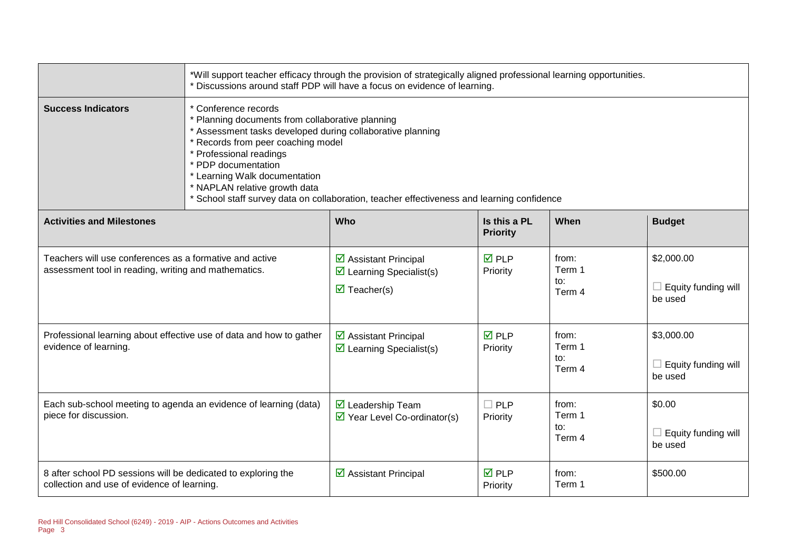|                                                                                                                 | *Will support teacher efficacy through the provision of strategically aligned professional learning opportunities.<br>* Discussions around staff PDP will have a focus on evidence of learning.                                                                                                                                                                                              |                                                                                                        |                                 |                                  |                                                        |  |  |  |
|-----------------------------------------------------------------------------------------------------------------|----------------------------------------------------------------------------------------------------------------------------------------------------------------------------------------------------------------------------------------------------------------------------------------------------------------------------------------------------------------------------------------------|--------------------------------------------------------------------------------------------------------|---------------------------------|----------------------------------|--------------------------------------------------------|--|--|--|
| <b>Success Indicators</b>                                                                                       | * Conference records<br>* Planning documents from collaborative planning<br>* Assessment tasks developed during collaborative planning<br>* Records from peer coaching model<br>* Professional readings<br>* PDP documentation<br>* Learning Walk documentation<br>* NAPLAN relative growth data<br>School staff survey data on collaboration, teacher effectiveness and learning confidence |                                                                                                        |                                 |                                  |                                                        |  |  |  |
| <b>Activities and Milestones</b>                                                                                |                                                                                                                                                                                                                                                                                                                                                                                              | Who                                                                                                    | Is this a PL<br><b>Priority</b> | When                             | <b>Budget</b>                                          |  |  |  |
| Teachers will use conferences as a formative and active<br>assessment tool in reading, writing and mathematics. |                                                                                                                                                                                                                                                                                                                                                                                              | ☑ Assistant Principal<br>$\triangleright$ Learning Specialist(s)<br>$\overline{\mathbf{z}}$ Teacher(s) | <b>ØPLP</b><br>Priority         | from:<br>Term 1<br>to:<br>Term 4 | \$2,000.00<br>$\Box$ Equity funding will<br>be used    |  |  |  |
| Professional learning about effective use of data and how to gather<br>evidence of learning.                    |                                                                                                                                                                                                                                                                                                                                                                                              | ☑ Assistant Principal<br>$\triangleright$ Learning Specialist(s)                                       | <b>☑</b> PLP<br>Priority        | from:<br>Term 1<br>to:<br>Term 4 | \$3,000.00<br>Equity funding will<br>$\Box$<br>be used |  |  |  |
| Each sub-school meeting to agenda an evidence of learning (data)<br>piece for discussion.                       |                                                                                                                                                                                                                                                                                                                                                                                              | $\triangledown$ Leadership Team<br>$\triangleright$ Year Level Co-ordinator(s)                         | $\Box$ PLP<br>Priority          | from:<br>Term 1<br>to:<br>Term 4 | \$0.00<br>Equity funding will<br>$\Box$<br>be used     |  |  |  |
| 8 after school PD sessions will be dedicated to exploring the<br>collection and use of evidence of learning.    |                                                                                                                                                                                                                                                                                                                                                                                              | $\boxtimes$ Assistant Principal                                                                        | <b>☑</b> PLP<br>Priority        | from:<br>Term 1                  | \$500.00                                               |  |  |  |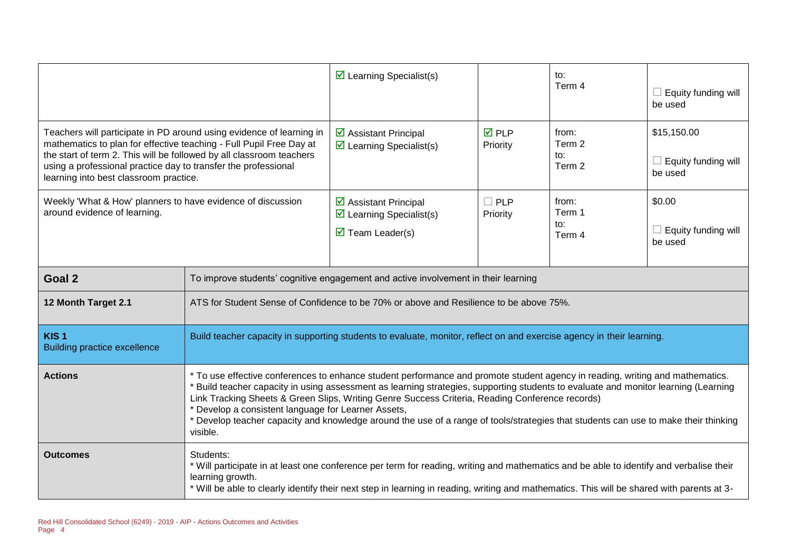|                                                                                                                                                                                                                                                                                                                                 |                                                                                                                                                                                                                                                                                                                                                                                                                                                                                                                                                                               | $\triangleright$ Learning Specialist(s)                                                                               |                          | to:<br>Term 4                    | Equity funding will<br>be used                       |  |
|---------------------------------------------------------------------------------------------------------------------------------------------------------------------------------------------------------------------------------------------------------------------------------------------------------------------------------|-------------------------------------------------------------------------------------------------------------------------------------------------------------------------------------------------------------------------------------------------------------------------------------------------------------------------------------------------------------------------------------------------------------------------------------------------------------------------------------------------------------------------------------------------------------------------------|-----------------------------------------------------------------------------------------------------------------------|--------------------------|----------------------------------|------------------------------------------------------|--|
| Teachers will participate in PD around using evidence of learning in<br>mathematics to plan for effective teaching - Full Pupil Free Day at<br>the start of term 2. This will be followed by all classroom teachers<br>using a professional practice day to transfer the professional<br>learning into best classroom practice. |                                                                                                                                                                                                                                                                                                                                                                                                                                                                                                                                                                               | ☑ Assistant Principal<br>$\triangleright$ Learning Specialist(s)                                                      | <b>☑</b> PLP<br>Priority | from:<br>Term 2<br>to:<br>Term 2 | \$15,150.00<br>$\Box$ Equity funding will<br>be used |  |
| Weekly 'What & How' planners to have evidence of discussion<br>around evidence of learning.                                                                                                                                                                                                                                     |                                                                                                                                                                                                                                                                                                                                                                                                                                                                                                                                                                               | ☑ Assistant Principal<br>$\triangleright$ Learning Specialist(s)<br>$\overline{\mathbf{M}}$ Team Leader(s)            | $\Box$ PLP<br>Priority   | from:<br>Term 1<br>to:<br>Term 4 | \$0.00<br>Equity funding will<br>be used             |  |
| Goal 2                                                                                                                                                                                                                                                                                                                          |                                                                                                                                                                                                                                                                                                                                                                                                                                                                                                                                                                               | To improve students' cognitive engagement and active involvement in their learning                                    |                          |                                  |                                                      |  |
| 12 Month Target 2.1                                                                                                                                                                                                                                                                                                             |                                                                                                                                                                                                                                                                                                                                                                                                                                                                                                                                                                               | ATS for Student Sense of Confidence to be 70% or above and Resilience to be above 75%.                                |                          |                                  |                                                      |  |
| KIS <sub>1</sub><br><b>Building practice excellence</b>                                                                                                                                                                                                                                                                         |                                                                                                                                                                                                                                                                                                                                                                                                                                                                                                                                                                               | Build teacher capacity in supporting students to evaluate, monitor, reflect on and exercise agency in their learning. |                          |                                  |                                                      |  |
| <b>Actions</b>                                                                                                                                                                                                                                                                                                                  | * To use effective conferences to enhance student performance and promote student agency in reading, writing and mathematics.<br>Build teacher capacity in using assessment as learning strategies, supporting students to evaluate and monitor learning (Learning<br>Link Tracking Sheets & Green Slips, Writing Genre Success Criteria, Reading Conference records)<br>Develop a consistent language for Learner Assets,<br>* Develop teacher capacity and knowledge around the use of a range of tools/strategies that students can use to make their thinking<br>visible. |                                                                                                                       |                          |                                  |                                                      |  |
| <b>Outcomes</b>                                                                                                                                                                                                                                                                                                                 | Students:<br>* Will participate in at least one conference per term for reading, writing and mathematics and be able to identify and verbalise their<br>learning growth.<br>* Will be able to clearly identify their next step in learning in reading, writing and mathematics. This will be shared with parents at 3-                                                                                                                                                                                                                                                        |                                                                                                                       |                          |                                  |                                                      |  |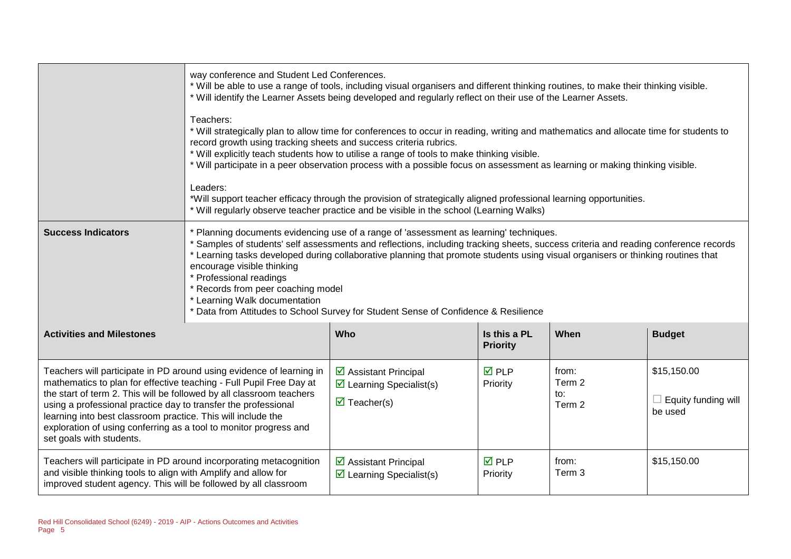|                                                                                                                                                                                                                                                                                                                                                                                                                                                        | way conference and Student Led Conferences.<br>* Will be able to use a range of tools, including visual organisers and different thinking routines, to make their thinking visible.<br>* Will identify the Learner Assets being developed and regularly reflect on their use of the Learner Assets.<br>Teachers:<br>* Will strategically plan to allow time for conferences to occur in reading, writing and mathematics and allocate time for students to<br>record growth using tracking sheets and success criteria rubrics.<br>* Will explicitly teach students how to utilise a range of tools to make thinking visible.<br>* Will participate in a peer observation process with a possible focus on assessment as learning or making thinking visible.<br>Leaders:<br>*Will support teacher efficacy through the provision of strategically aligned professional learning opportunities.<br>* Will regularly observe teacher practice and be visible in the school (Learning Walks) |                                                                                                        |                                 |                                  |                                               |  |
|--------------------------------------------------------------------------------------------------------------------------------------------------------------------------------------------------------------------------------------------------------------------------------------------------------------------------------------------------------------------------------------------------------------------------------------------------------|--------------------------------------------------------------------------------------------------------------------------------------------------------------------------------------------------------------------------------------------------------------------------------------------------------------------------------------------------------------------------------------------------------------------------------------------------------------------------------------------------------------------------------------------------------------------------------------------------------------------------------------------------------------------------------------------------------------------------------------------------------------------------------------------------------------------------------------------------------------------------------------------------------------------------------------------------------------------------------------------|--------------------------------------------------------------------------------------------------------|---------------------------------|----------------------------------|-----------------------------------------------|--|
| <b>Success Indicators</b>                                                                                                                                                                                                                                                                                                                                                                                                                              | * Planning documents evidencing use of a range of 'assessment as learning' techniques.<br>* Samples of students' self assessments and reflections, including tracking sheets, success criteria and reading conference records<br>* Learning tasks developed during collaborative planning that promote students using visual organisers or thinking routines that<br>encourage visible thinking<br>* Professional readings<br>* Records from peer coaching model<br>* Learning Walk documentation<br>* Data from Attitudes to School Survey for Student Sense of Confidence & Resilience                                                                                                                                                                                                                                                                                                                                                                                                   |                                                                                                        |                                 |                                  |                                               |  |
| <b>Activities and Milestones</b>                                                                                                                                                                                                                                                                                                                                                                                                                       |                                                                                                                                                                                                                                                                                                                                                                                                                                                                                                                                                                                                                                                                                                                                                                                                                                                                                                                                                                                            | Who                                                                                                    | Is this a PL<br><b>Priority</b> | When                             | <b>Budget</b>                                 |  |
| Teachers will participate in PD around using evidence of learning in<br>mathematics to plan for effective teaching - Full Pupil Free Day at<br>the start of term 2. This will be followed by all classroom teachers<br>using a professional practice day to transfer the professional<br>learning into best classroom practice. This will include the<br>exploration of using conferring as a tool to monitor progress and<br>set goals with students. |                                                                                                                                                                                                                                                                                                                                                                                                                                                                                                                                                                                                                                                                                                                                                                                                                                                                                                                                                                                            | ☑ Assistant Principal<br>$\triangleright$ Learning Specialist(s)<br>$\overline{\mathbf{M}}$ Teacher(s) | $\overline{M}$ PLP<br>Priority  | from:<br>Term 2<br>to:<br>Term 2 | \$15,150.00<br>Equity funding will<br>be used |  |
| Teachers will participate in PD around incorporating metacognition<br>and visible thinking tools to align with Amplify and allow for<br>improved student agency. This will be followed by all classroom                                                                                                                                                                                                                                                |                                                                                                                                                                                                                                                                                                                                                                                                                                                                                                                                                                                                                                                                                                                                                                                                                                                                                                                                                                                            | ☑ Assistant Principal<br>$\triangleright$ Learning Specialist(s)                                       | $\overline{M}$ PLP<br>Priority  | from:<br>Term 3                  | \$15,150.00                                   |  |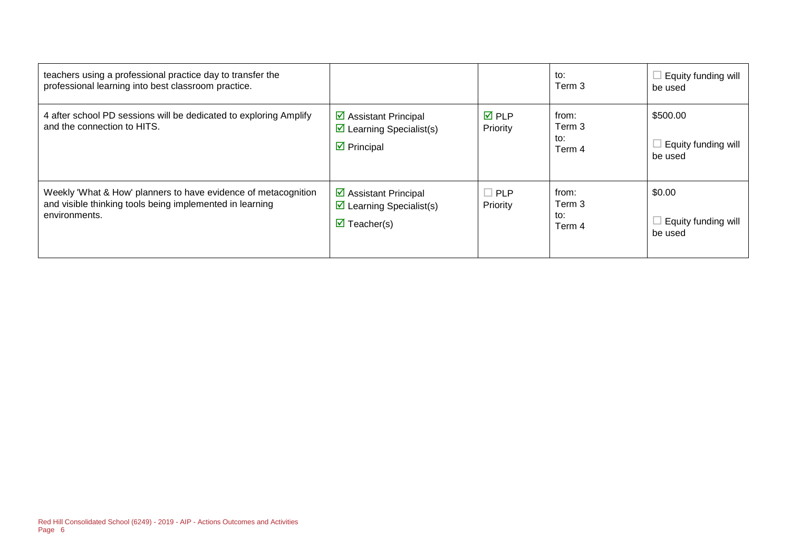| teachers using a professional practice day to transfer the<br>professional learning into best classroom practice.                           |                                                                                                                       |                                | to:<br>Term 3                               | Equity funding will<br>be used             |
|---------------------------------------------------------------------------------------------------------------------------------------------|-----------------------------------------------------------------------------------------------------------------------|--------------------------------|---------------------------------------------|--------------------------------------------|
| 4 after school PD sessions will be dedicated to exploring Amplify<br>and the connection to HITS.                                            | $\triangleright$ Assistant Principal<br>$\triangleright$ Learning Specialist(s)<br>$\triangleright$ Principal         | $\overline{M}$ PLP<br>Priority | from:<br>Term 3<br>to:<br>Term 4            | \$500.00<br>Equity funding will<br>be used |
| Weekly 'What & How' planners to have evidence of metacognition<br>and visible thinking tools being implemented in learning<br>environments. | $\triangleright$ Assistant Principal<br>$\triangleright$ Learning Specialist(s)<br>$\overline{\mathbf{y}}$ Teacher(s) | $\Box$ PLP<br>Priority         | from:<br>Term <sub>3</sub><br>to:<br>Term 4 | \$0.00<br>Equity funding will<br>be used   |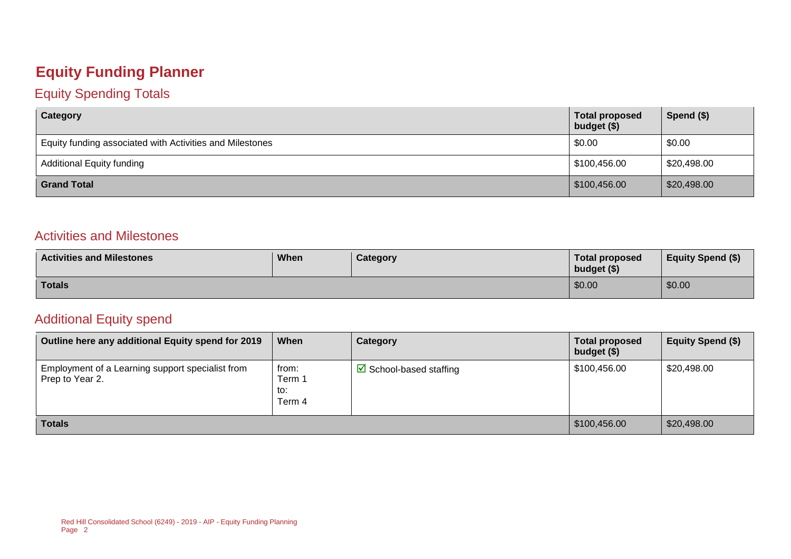### **Equity Funding Planner**

#### Equity Spending Totals

| Category                                                 | <b>Total proposed</b><br>budget (\$) | Spend (\$)  |
|----------------------------------------------------------|--------------------------------------|-------------|
| Equity funding associated with Activities and Milestones | \$0.00                               | \$0.00      |
| <b>Additional Equity funding</b>                         | \$100,456.00                         | \$20,498.00 |
| <b>Grand Total</b>                                       | \$100,456.00                         | \$20,498.00 |

#### Activities and Milestones

| <b>Activities and Milestones</b> | When | Category | Total proposed<br>budget (\$) | <b>Equity Spend (\$)</b> |
|----------------------------------|------|----------|-------------------------------|--------------------------|
| <b>Totals</b>                    |      |          | \$0.00                        | \$0.00                   |

#### Additional Equity spend

| Outline here any additional Equity spend for 2019                   | When                             | Category                               | <b>Total proposed</b><br>budget (\$) | Equity Spend (\$) |
|---------------------------------------------------------------------|----------------------------------|----------------------------------------|--------------------------------------|-------------------|
| Employment of a Learning support specialist from<br>Prep to Year 2. | from:<br>Term 1<br>to:<br>Term 4 | $\triangleright$ School-based staffing | \$100,456.00                         | \$20,498.00       |
| <b>Totals</b>                                                       |                                  |                                        |                                      | \$20,498.00       |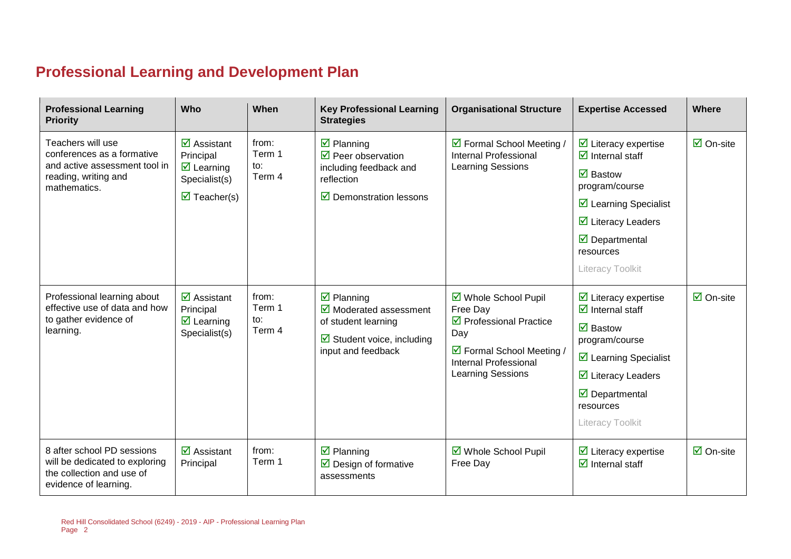# **Professional Learning and Development Plan**

| <b>Professional Learning</b><br><b>Priority</b>                                                                    | Who                                                                                                                          | When                                             | <b>Key Professional Learning</b><br><b>Strategies</b>                                                  | <b>Organisational Structure</b>                                                       | <b>Expertise Accessed</b>                                                      | Where                           |
|--------------------------------------------------------------------------------------------------------------------|------------------------------------------------------------------------------------------------------------------------------|--------------------------------------------------|--------------------------------------------------------------------------------------------------------|---------------------------------------------------------------------------------------|--------------------------------------------------------------------------------|---------------------------------|
| Teachers will use<br>conferences as a formative<br>and active assessment tool in                                   | $\overline{\mathbf{M}}$ Assistant<br>Principal<br>$\boxtimes$ Learning                                                       | from:<br>Term 1<br>$\mathsf{to}:$                | $\overline{\mathbf{z}}$ Planning<br>$\overline{\mathbf{2}}$ Peer observation<br>including feedback and | ☑ Formal School Meeting /<br><b>Internal Professional</b><br><b>Learning Sessions</b> | $\triangleright$ Literacy expertise<br>$\overline{\mathbf{d}}$ Internal staff  | $\overline{\mathsf{M}}$ On-site |
| reading, writing and<br>mathematics.                                                                               | Term 4<br>reflection<br>Specialist(s)<br>$\overline{\mathbf{M}}$ Teacher(s)<br>$\overline{\mathbf{2}}$ Demonstration lessons | $\overline{\mathbf{M}}$ Bastow<br>program/course |                                                                                                        |                                                                                       |                                                                                |                                 |
|                                                                                                                    |                                                                                                                              | ☑ Learning Specialist                            |                                                                                                        |                                                                                       |                                                                                |                                 |
|                                                                                                                    |                                                                                                                              |                                                  |                                                                                                        |                                                                                       | $\overline{\mathbf{y}}$ Literacy Leaders                                       |                                 |
|                                                                                                                    |                                                                                                                              |                                                  |                                                                                                        |                                                                                       | $\overline{\mathbf{M}}$ Departmental<br>resources                              |                                 |
|                                                                                                                    |                                                                                                                              |                                                  |                                                                                                        |                                                                                       | Literacy Toolkit                                                               |                                 |
| Professional learning about<br>effective use of data and how<br>to gather evidence of                              | $\overline{\mathbf{M}}$ Assistant<br>Principal<br>$\triangledown$ Learning                                                   | from:<br>Term 1<br>to:                           | $\overline{\mathbf{z}}$ Planning<br>$\overline{\mathbf{M}}$ Moderated assessment                       | ☑ Whole School Pupil<br>Free Day<br>$\triangledown$ Professional Practice             | $\triangleright$ Literacy expertise<br>$\overline{\mathbf{d}}$ Internal staff  | $\overline{\mathsf{M}}$ On-site |
| learning.                                                                                                          | Specialist(s)                                                                                                                | Term 4                                           | of student learning<br>$\boxtimes$ Student voice, including                                            | Day                                                                                   | $\overline{\mathbf{M}}$ Bastow<br>program/course                               |                                 |
|                                                                                                                    |                                                                                                                              |                                                  | input and feedback                                                                                     | ☑ Formal School Meeting /<br><b>Internal Professional</b>                             | $\triangleright$ Learning Specialist                                           |                                 |
|                                                                                                                    |                                                                                                                              |                                                  |                                                                                                        | <b>Learning Sessions</b>                                                              | $\triangleright$ Literacy Leaders                                              |                                 |
|                                                                                                                    |                                                                                                                              |                                                  |                                                                                                        |                                                                                       | $\overline{\mathbf{y}}$ Departmental<br>resources                              |                                 |
|                                                                                                                    |                                                                                                                              |                                                  |                                                                                                        |                                                                                       | Literacy Toolkit                                                               |                                 |
| 8 after school PD sessions<br>will be dedicated to exploring<br>the collection and use of<br>evidence of learning. | $\overline{\mathbf{z}}$ Assistant<br>Principal                                                                               | from:<br>Term 1                                  | $\overline{\mathbf{y}}$ Planning<br>$\triangleright$ Design of formative<br>assessments                | ☑ Whole School Pupil<br>Free Day                                                      | $\triangleright$ Literacy expertise<br>$\overline{\mathcal{A}}$ Internal staff | $\overline{\Box}$ On-site       |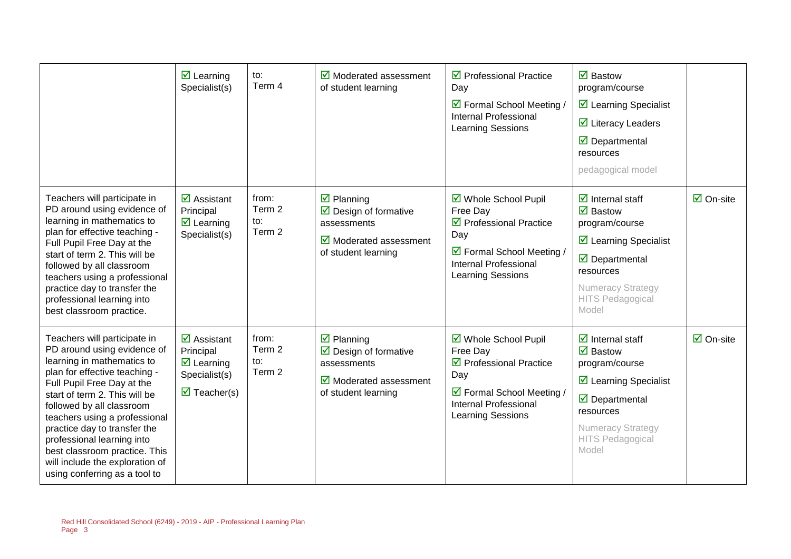|                                                                                                                                                                                                                                                                                                                                                                                                                            | $\overline{\mathbf{z}}$ Learning<br>Specialist(s)                                                                                         | to:<br>Term 4                    | $\triangledown$ Moderated assessment<br>of student learning                                                                                             | $\triangledown$ Professional Practice<br>Day<br>☑ Formal School Meeting /<br>Internal Professional<br>Learning Sessions                                            | $\boxtimes$ Bastow<br>program/course<br>$\boxtimes$ Learning Specialist<br>$\overline{\mathbf{M}}$ Literacy Leaders<br>$\overline{\mathbf{y}}$ Departmental<br>resources<br>pedagogical model                                              |                           |
|----------------------------------------------------------------------------------------------------------------------------------------------------------------------------------------------------------------------------------------------------------------------------------------------------------------------------------------------------------------------------------------------------------------------------|-------------------------------------------------------------------------------------------------------------------------------------------|----------------------------------|---------------------------------------------------------------------------------------------------------------------------------------------------------|--------------------------------------------------------------------------------------------------------------------------------------------------------------------|--------------------------------------------------------------------------------------------------------------------------------------------------------------------------------------------------------------------------------------------|---------------------------|
| Teachers will participate in<br>PD around using evidence of<br>learning in mathematics to<br>plan for effective teaching -<br>Full Pupil Free Day at the<br>start of term 2. This will be<br>followed by all classroom<br>teachers using a professional<br>practice day to transfer the<br>professional learning into<br>best classroom practice.                                                                          | $\overline{\mathbf{M}}$ Assistant<br>Principal<br>$\overline{\mathbf{z}}$ Learning<br>Specialist(s)                                       | from:<br>Term 2<br>to:<br>Term 2 | $\overline{\mathbf{z}}$ Planning<br>$\triangleright$ Design of formative<br>assessments<br>$\triangleright$ Moderated assessment<br>of student learning | ☑ Whole School Pupil<br>Free Day<br>$\triangledown$ Professional Practice<br>Day<br>☑ Formal School Meeting /<br><b>Internal Professional</b><br>Learning Sessions | $\overline{\mathbf{d}}$ Internal staff<br>$\overline{\mathbf{M}}$ Bastow<br>program/course<br>$\boxtimes$ Learning Specialist<br>$\triangledown$ Departmental<br>resources<br><b>Numeracy Strategy</b><br><b>HITS Pedagogical</b><br>Model | $\boxdot$ On-site         |
| Teachers will participate in<br>PD around using evidence of<br>learning in mathematics to<br>plan for effective teaching -<br>Full Pupil Free Day at the<br>start of term 2. This will be<br>followed by all classroom<br>teachers using a professional<br>practice day to transfer the<br>professional learning into<br>best classroom practice. This<br>will include the exploration of<br>using conferring as a tool to | $\overline{\mathbf{z}}$ Assistant<br>Principal<br>$\overline{\mathbf{z}}$ Learning<br>Specialist(s)<br>$\overline{\mathbf{z}}$ Teacher(s) | from:<br>Term 2<br>to:<br>Term 2 | $\boxtimes$ Planning<br>$\triangleright$ Design of formative<br>assessments<br>$\triangleright$ Moderated assessment<br>of student learning             | ☑ Whole School Pupil<br>Free Day<br>$\triangledown$ Professional Practice<br>Day<br>☑ Formal School Meeting /<br><b>Internal Professional</b><br>Learning Sessions | $\overline{\mathbf{d}}$ Internal staff<br>$\boxtimes$ Bastow<br>program/course<br>☑ Learning Specialist<br>$\overline{\mathbf{y}}$ Departmental<br>resources<br>Numeracy Strategy<br><b>HITS Pedagogical</b><br>Model                      | $\overline{\Box}$ On-site |